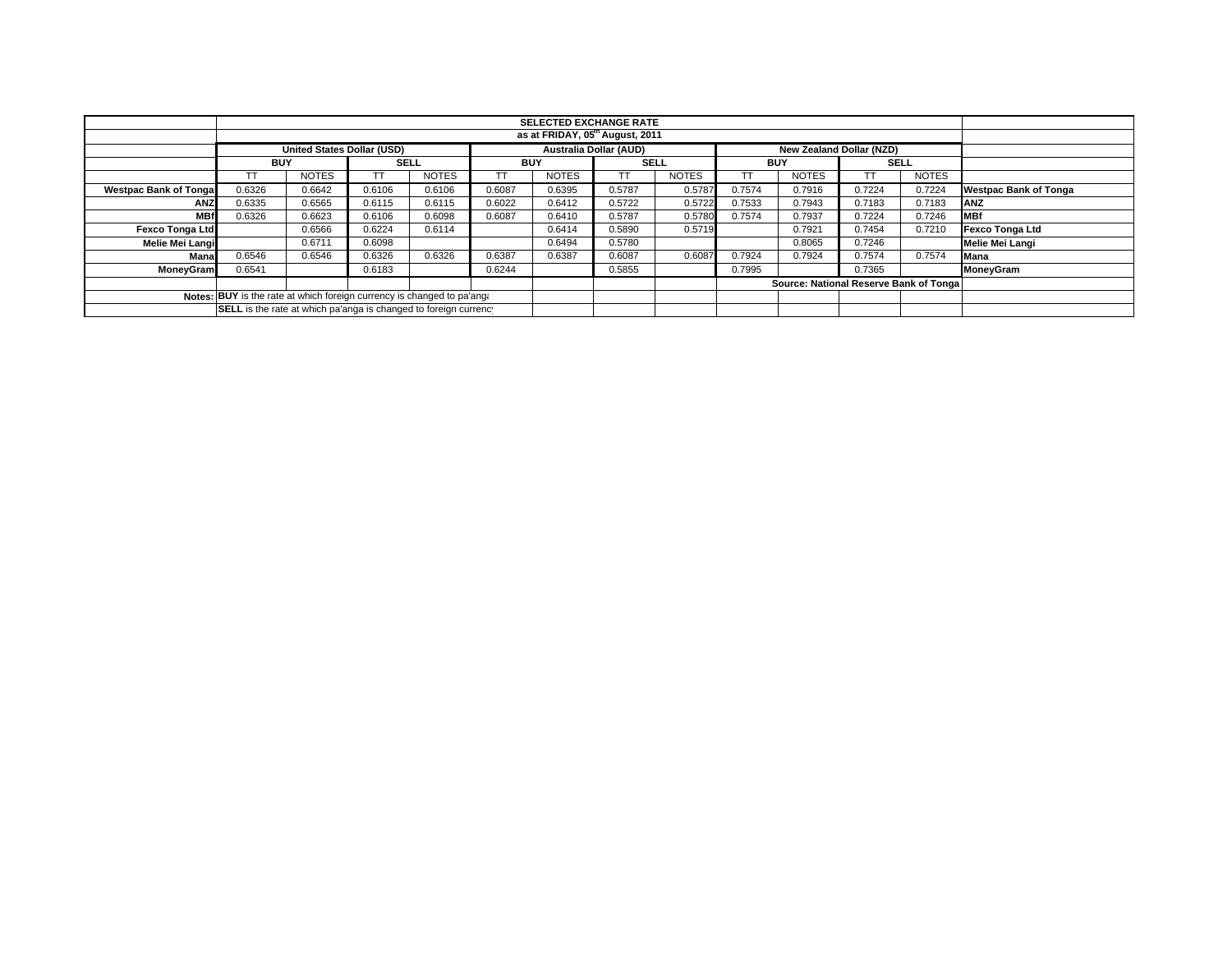|                              |                                                                        | <b>SELECTED EXCHANGE RATE</b>     |             |              |            |              |                               |              |            |                                         |             |              |                              |
|------------------------------|------------------------------------------------------------------------|-----------------------------------|-------------|--------------|------------|--------------|-------------------------------|--------------|------------|-----------------------------------------|-------------|--------------|------------------------------|
|                              |                                                                        |                                   |             |              |            |              |                               |              |            |                                         |             |              |                              |
|                              |                                                                        | <b>United States Dollar (USD)</b> |             |              |            |              | <b>Australia Dollar (AUD)</b> |              |            | New Zealand Dollar (NZD)                |             |              |                              |
|                              | <b>BUY</b>                                                             |                                   | <b>SELL</b> |              | <b>BUY</b> |              | <b>SELL</b>                   |              | <b>BUY</b> |                                         | <b>SELL</b> |              |                              |
|                              |                                                                        | <b>NOTES</b>                      | TT          | <b>NOTES</b> | TT         | <b>NOTES</b> | ТT                            | <b>NOTES</b> |            | <b>NOTES</b>                            |             | <b>NOTES</b> |                              |
| <b>Westpac Bank of Tonga</b> | 0.6326                                                                 | 0.6642                            | 0.6106      | 0.6106       | 0.6087     | 0.6395       | 0.5787                        | 0.5787       | 0.7574     | 0.7916                                  | 0.7224      | 0.7224       | <b>Westpac Bank of Tonga</b> |
| <b>ANZ</b>                   | 0.6335                                                                 | 0.6565                            | 0.6115      | 0.6115       | 0.6022     | 0.6412       | 0.5722                        | 0.5722       | 0.7533     | 0.7943                                  | 0.7183      | 0.7183       | ANZ                          |
| <b>MBf</b>                   | 0.6326                                                                 | 0.6623                            | 0.6106      | 0.6098       | 0.6087     | 0.6410       | 0.5787                        | 0.5780       | 0.7574     | 0.7937                                  | 0.7224      | 0.7246       | <b>IMBf</b>                  |
| Fexco Tonga Ltd              |                                                                        | 0.6566                            | 0.6224      | 0.6114       |            | 0.6414       | 0.5890                        | 0.5719       |            | 0.7921                                  | 0.7454      | 0.7210       | Fexco Tonga Ltd              |
| Melie Mei Langi              |                                                                        | 0.6711                            | 0.6098      |              |            | 0.6494       | 0.5780                        |              |            | 0.8065                                  | 0.7246      |              | Melie Mei Langi              |
| Mana                         | 0.6546                                                                 | 0.6546                            | 0.6326      | 0.6326       | 0.6387     | 0.6387       | 0.6087                        | 0.6087       | 0.7924     | 0.7924                                  | 0.7574      | 0.7574       | <b>Mana</b>                  |
| <b>MoneyGram</b>             | 0.6541                                                                 |                                   | 0.6183      |              | 0.6244     |              | 0.5855                        |              | 0.7995     |                                         | 0.7365      |              | MoneyGram                    |
|                              |                                                                        |                                   |             |              |            |              |                               |              |            | Source: National Reserve Bank of Tongal |             |              |                              |
|                              | Notes: BUY is the rate at which foreign currency is changed to pa'ang: |                                   |             |              |            |              |                               |              |            |                                         |             |              |                              |
|                              | SELL is the rate at which pa'anga is changed to foreign currency       |                                   |             |              |            |              |                               |              |            |                                         |             |              |                              |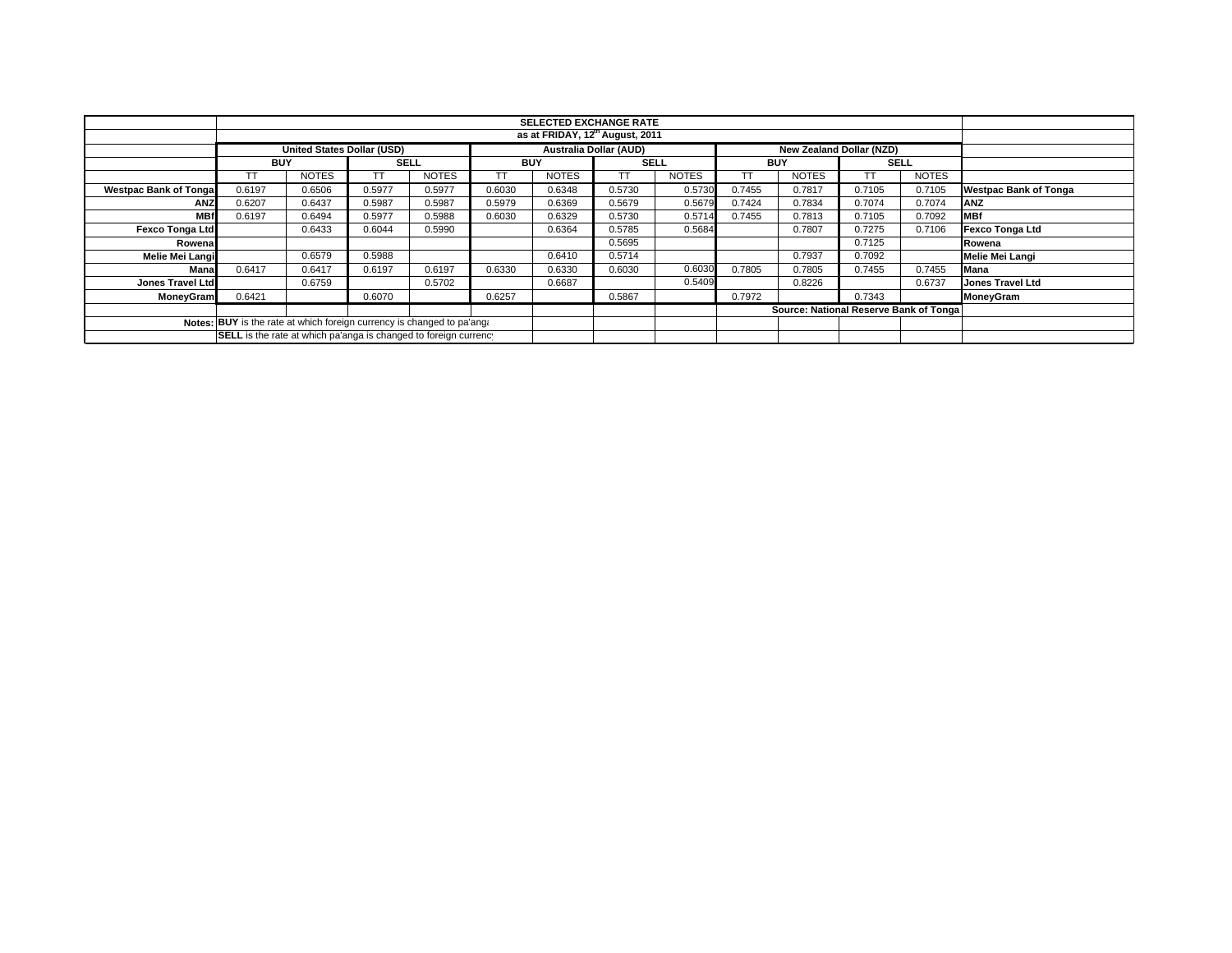|                                                                                                                                            |            |                                   |             |              |            |              | <b>SELECTED EXCHANGE RATE</b> |              |            |                                         |             |              |                              |  |
|--------------------------------------------------------------------------------------------------------------------------------------------|------------|-----------------------------------|-------------|--------------|------------|--------------|-------------------------------|--------------|------------|-----------------------------------------|-------------|--------------|------------------------------|--|
|                                                                                                                                            |            | as at FRIDAY, 12th August, 2011   |             |              |            |              |                               |              |            |                                         |             |              |                              |  |
|                                                                                                                                            |            | <b>United States Dollar (USD)</b> |             |              |            |              | <b>Australia Dollar (AUD)</b> |              |            | New Zealand Dollar (NZD)                |             |              |                              |  |
|                                                                                                                                            | <b>BUY</b> |                                   | <b>SELL</b> |              | <b>BUY</b> |              | <b>SELL</b>                   |              | <b>BUY</b> |                                         | <b>SELL</b> |              |                              |  |
|                                                                                                                                            |            | <b>NOTES</b>                      |             | <b>NOTES</b> |            | <b>NOTES</b> | TТ                            | <b>NOTES</b> | TТ         | <b>NOTES</b>                            | ТT          | <b>NOTES</b> |                              |  |
| <b>Westpac Bank of Tongal</b>                                                                                                              | 0.6197     | 0.6506                            | 0.5977      | 0.5977       | 0.6030     | 0.6348       | 0.5730                        | 0.5730       | 0.7455     | 0.7817                                  | 0.7105      | 0.7105       | <b>Westpac Bank of Tonga</b> |  |
| <b>ANZ</b>                                                                                                                                 | 0.6207     | 0.6437                            | 0.5987      | 0.5987       | 0.5979     | 0.6369       | 0.5679                        | 0.5679       | 0.7424     | 0.7834                                  | 0.7074      | 0.7074       | <b>ANZ</b>                   |  |
| <b>MBf</b>                                                                                                                                 | 0.6197     | 0.6494                            | 0.5977      | 0.5988       | 0.6030     | 0.6329       | 0.5730                        | 0.5714       | 0.7455     | 0.7813                                  | 0.7105      | 0.7092       | <b>MBf</b>                   |  |
| <b>Fexco Tonga Ltd</b>                                                                                                                     |            | 0.6433                            | 0.6044      | 0.5990       |            | 0.6364       | 0.5785                        | 0.5684       |            | 0.7807                                  | 0.7275      | 0.7106       | <b>Fexco Tonga Ltd</b>       |  |
| Rowenal                                                                                                                                    |            |                                   |             |              |            |              | 0.5695                        |              |            |                                         | 0.7125      |              | Rowena                       |  |
| Melie Mei Langi                                                                                                                            |            | 0.6579                            | 0.5988      |              |            | 0.6410       | 0.5714                        |              |            | 0.7937                                  | 0.7092      |              | Melie Mei Langi              |  |
| Mana                                                                                                                                       | 0.6417     | 0.6417                            | 0.6197      | 0.6197       | 0.6330     | 0.6330       | 0.6030                        | 0.6030       | 0.7805     | 0.7805                                  | 0.7455      | 0.7455       | Mana                         |  |
| Jones Travel Ltd                                                                                                                           |            | 0.6759                            |             | 0.5702       |            | 0.6687       |                               | 0.5409       |            | 0.8226                                  |             | 0.6737       | <b>Jones Travel Ltd</b>      |  |
| <b>MoneyGram</b>                                                                                                                           | 0.6421     |                                   | 0.6070      |              | 0.6257     |              | 0.5867                        |              | 0.7972     |                                         | 0.7343      |              | <b>MoneyGram</b>             |  |
|                                                                                                                                            |            |                                   |             |              |            |              |                               |              |            | Source: National Reserve Bank of Tongal |             |              |                              |  |
| Notes: BUY is the rate at which foreign currency is changed to pa'ang.<br>SELL is the rate at which pa'anga is changed to foreign currency |            |                                   |             |              |            |              |                               |              |            |                                         |             |              |                              |  |
|                                                                                                                                            |            |                                   |             |              |            |              |                               |              |            |                                         |             |              |                              |  |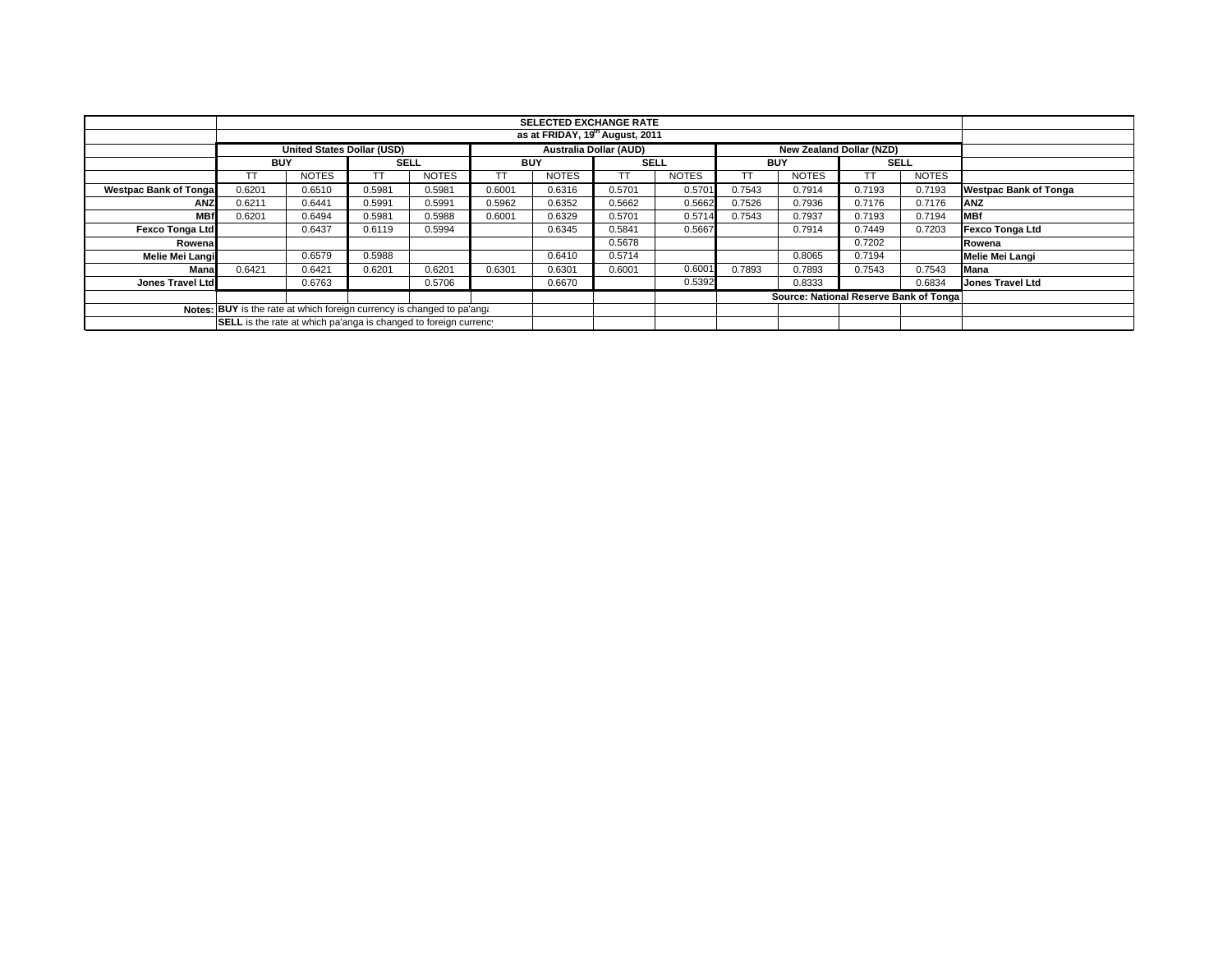|                                                                        |                                                                  | <b>SELECTED EXCHANGE RATE</b><br>as at FRIDAY, 19 <sup>th</sup> August, 2011 |             |              |            |              |                               |              |            |                                        |             |              |                              |
|------------------------------------------------------------------------|------------------------------------------------------------------|------------------------------------------------------------------------------|-------------|--------------|------------|--------------|-------------------------------|--------------|------------|----------------------------------------|-------------|--------------|------------------------------|
|                                                                        |                                                                  |                                                                              |             |              |            |              |                               |              |            |                                        |             |              |                              |
|                                                                        |                                                                  | <b>United States Dollar (USD)</b>                                            |             |              |            |              | <b>Australia Dollar (AUD)</b> |              |            | New Zealand Dollar (NZD)               |             |              |                              |
|                                                                        | <b>BUY</b>                                                       |                                                                              | <b>SELL</b> |              | <b>BUY</b> |              | <b>SELL</b>                   |              | <b>BUY</b> |                                        | <b>SELL</b> |              |                              |
|                                                                        |                                                                  | <b>NOTES</b>                                                                 |             | <b>NOTES</b> |            | <b>NOTES</b> |                               | <b>NOTES</b> |            | <b>NOTES</b>                           |             | <b>NOTES</b> |                              |
| <b>Westpac Bank of Tongal</b>                                          | 0.6201                                                           | 0.6510                                                                       | 0.5981      | 0.5981       | 0.6001     | 0.6316       | 0.5701                        | 0.5701       | 0.7543     | 0.7914                                 | 0.7193      | 0.7193       | <b>Westpac Bank of Tonga</b> |
| <b>ANZ</b>                                                             | 0.6211                                                           | 0.6441                                                                       | 0.5991      | 0.5991       | 0.5962     | 0.6352       | 0.5662                        | 0.5662       | 0.7526     | 0.7936                                 | 0.7176      | 0.7176       | <b>ANZ</b>                   |
| <b>MBf</b>                                                             | 0.6201                                                           | 0.6494                                                                       | 0.5981      | 0.5988       | 0.6001     | 0.6329       | 0.5701                        | 0.5714       | 0.7543     | 0.7937                                 | 0.7193      | 0.7194       | <b>IMBf</b>                  |
| <b>Fexco Tonga Ltd</b>                                                 |                                                                  | 0.6437                                                                       | 0.6119      | 0.5994       |            | 0.6345       | 0.5841                        | 0.5667       |            | 0.7914                                 | 0.7449      | 0.7203       | Fexco Tonga Ltd              |
| Rowenal                                                                |                                                                  |                                                                              |             |              |            |              | 0.5678                        |              |            |                                        | 0.7202      |              | Rowena                       |
| Melie Mei Langi                                                        |                                                                  | 0.6579                                                                       | 0.5988      |              |            | 0.6410       | 0.5714                        |              |            | 0.8065                                 | 0.7194      |              | Melie Mei Langi              |
| Mana                                                                   | 0.6421                                                           | 0.6421                                                                       | 0.6201      | 0.6201       | 0.6301     | 0.6301       | 0.6001                        | 0.6001       | 0.7893     | 0.7893                                 | 0.7543      | 0.7543       | Mana                         |
| Jones Travel Ltd                                                       |                                                                  | 0.6763                                                                       |             | 0.5706       |            | 0.6670       |                               | 0.5392       |            | 0.8333                                 |             | 0.6834       | <b>Jones Travel Ltd</b>      |
|                                                                        |                                                                  |                                                                              |             |              |            |              |                               |              |            | Source: National Reserve Bank of Tonga |             |              |                              |
| Notes: BUY is the rate at which foreign currency is changed to pa'ang: |                                                                  |                                                                              |             |              |            |              |                               |              |            |                                        |             |              |                              |
|                                                                        | SELL is the rate at which pa'anga is changed to foreign currency |                                                                              |             |              |            |              |                               |              |            |                                        |             |              |                              |